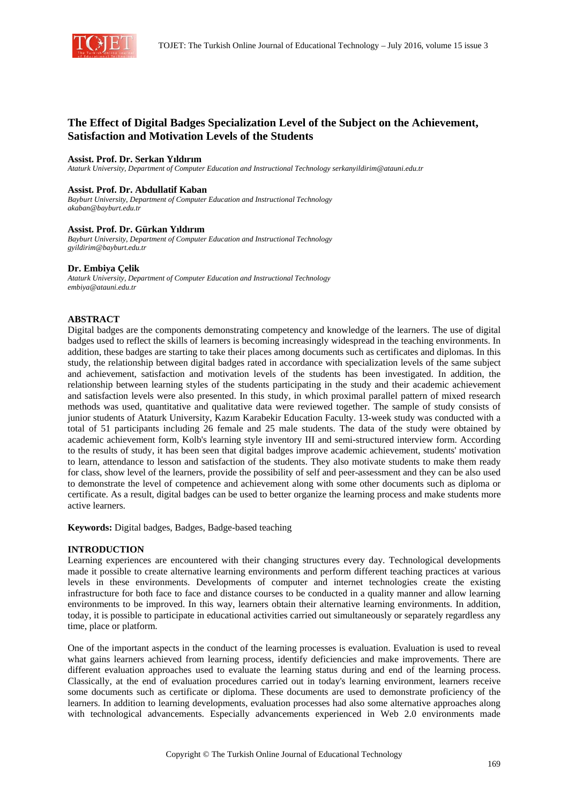

# **The Effect of Digital Badges Specialization Level of the Subject on the Achievement, Satisfaction and Motivation Levels of the Students**

### **Assist. Prof. Dr. Serkan Yıldırım**

*Ataturk University, Department of Computer Education and Instructional Technology serkanyildirim@atauni.edu.tr* 

#### **Assist. Prof. Dr. Abdullatif Kaban**

*Bayburt University, Department of Computer Education and Instructional Technology akaban@bayburt.edu.tr* 

#### **Assist. Prof. Dr. Gürkan Yıldırım**

*Bayburt University, Department of Computer Education and Instructional Technology gyildirim@bayburt.edu.tr* 

#### **Dr. Embiya Çelik**

*Ataturk University, Department of Computer Education and Instructional Technology embiya@atauni.edu.tr* 

# **ABSTRACT**

Digital badges are the components demonstrating competency and knowledge of the learners. The use of digital badges used to reflect the skills of learners is becoming increasingly widespread in the teaching environments. In addition, these badges are starting to take their places among documents such as certificates and diplomas. In this study, the relationship between digital badges rated in accordance with specialization levels of the same subject and achievement, satisfaction and motivation levels of the students has been investigated. In addition, the relationship between learning styles of the students participating in the study and their academic achievement and satisfaction levels were also presented. In this study, in which proximal parallel pattern of mixed research methods was used, quantitative and qualitative data were reviewed together. The sample of study consists of junior students of Ataturk University, Kazım Karabekir Education Faculty. 13-week study was conducted with a total of 51 participants including 26 female and 25 male students. The data of the study were obtained by academic achievement form, Kolb's learning style inventory III and semi-structured interview form. According to the results of study, it has been seen that digital badges improve academic achievement, students' motivation to learn, attendance to lesson and satisfaction of the students. They also motivate students to make them ready for class, show level of the learners, provide the possibility of self and peer-assessment and they can be also used to demonstrate the level of competence and achievement along with some other documents such as diploma or certificate. As a result, digital badges can be used to better organize the learning process and make students more active learners.

**Keywords:** Digital badges, Badges, Badge-based teaching

### **INTRODUCTION**

Learning experiences are encountered with their changing structures every day. Technological developments made it possible to create alternative learning environments and perform different teaching practices at various levels in these environments. Developments of computer and internet technologies create the existing infrastructure for both face to face and distance courses to be conducted in a quality manner and allow learning environments to be improved. In this way, learners obtain their alternative learning environments. In addition, today, it is possible to participate in educational activities carried out simultaneously or separately regardless any time, place or platform.

One of the important aspects in the conduct of the learning processes is evaluation. Evaluation is used to reveal what gains learners achieved from learning process, identify deficiencies and make improvements. There are different evaluation approaches used to evaluate the learning status during and end of the learning process. Classically, at the end of evaluation procedures carried out in today's learning environment, learners receive some documents such as certificate or diploma. These documents are used to demonstrate proficiency of the learners. In addition to learning developments, evaluation processes had also some alternative approaches along with technological advancements. Especially advancements experienced in Web 2.0 environments made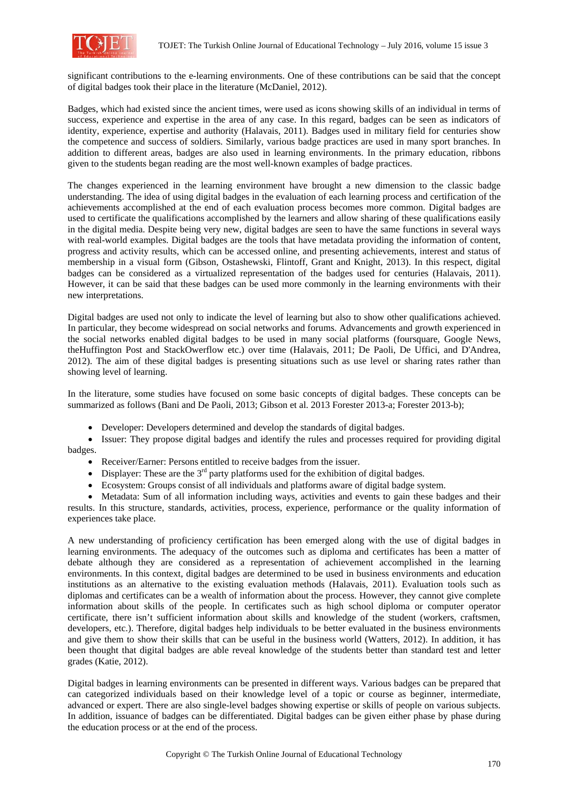

significant contributions to the e-learning environments. One of these contributions can be said that the concept of digital badges took their place in the literature (McDaniel, 2012).

Badges, which had existed since the ancient times, were used as icons showing skills of an individual in terms of success, experience and expertise in the area of any case. In this regard, badges can be seen as indicators of identity, experience, expertise and authority (Halavais, 2011). Badges used in military field for centuries show the competence and success of soldiers. Similarly, various badge practices are used in many sport branches. In addition to different areas, badges are also used in learning environments. In the primary education, ribbons given to the students began reading are the most well-known examples of badge practices.

The changes experienced in the learning environment have brought a new dimension to the classic badge understanding. The idea of using digital badges in the evaluation of each learning process and certification of the achievements accomplished at the end of each evaluation process becomes more common. Digital badges are used to certificate the qualifications accomplished by the learners and allow sharing of these qualifications easily in the digital media. Despite being very new, digital badges are seen to have the same functions in several ways with real-world examples. Digital badges are the tools that have metadata providing the information of content, progress and activity results, which can be accessed online, and presenting achievements, interest and status of membership in a visual form (Gibson, Ostashewski, Flintoff, Grant and Knight, 2013). In this respect, digital badges can be considered as a virtualized representation of the badges used for centuries (Halavais, 2011). However, it can be said that these badges can be used more commonly in the learning environments with their new interpretations.

Digital badges are used not only to indicate the level of learning but also to show other qualifications achieved. In particular, they become widespread on social networks and forums. Advancements and growth experienced in the social networks enabled digital badges to be used in many social platforms (foursquare, Google News, theHuffington Post and StackOwerflow etc.) over time (Halavais, 2011; De Paoli, De Uffici, and D'Andrea, 2012). The aim of these digital badges is presenting situations such as use level or sharing rates rather than showing level of learning.

In the literature, some studies have focused on some basic concepts of digital badges. These concepts can be summarized as follows (Bani and De Paoli, 2013; Gibson et al. 2013 Forester 2013-a; Forester 2013-b);

• Developer: Developers determined and develop the standards of digital badges.

• Issuer: They propose digital badges and identify the rules and processes required for providing digital badges.

- Receiver/Earner: Persons entitled to receive badges from the issuer.
- Displayer: These are the  $3<sup>rd</sup>$  party platforms used for the exhibition of digital badges.
- Ecosystem: Groups consist of all individuals and platforms aware of digital badge system.

• Metadata: Sum of all information including ways, activities and events to gain these badges and their results. In this structure, standards, activities, process, experience, performance or the quality information of experiences take place.

A new understanding of proficiency certification has been emerged along with the use of digital badges in learning environments. The adequacy of the outcomes such as diploma and certificates has been a matter of debate although they are considered as a representation of achievement accomplished in the learning environments. In this context, digital badges are determined to be used in business environments and education institutions as an alternative to the existing evaluation methods (Halavais, 2011). Evaluation tools such as diplomas and certificates can be a wealth of information about the process. However, they cannot give complete information about skills of the people. In certificates such as high school diploma or computer operator certificate, there isn't sufficient information about skills and knowledge of the student (workers, craftsmen, developers, etc.). Therefore, digital badges help individuals to be better evaluated in the business environments and give them to show their skills that can be useful in the business world (Watters, 2012). In addition, it has been thought that digital badges are able reveal knowledge of the students better than standard test and letter grades (Katie, 2012).

Digital badges in learning environments can be presented in different ways. Various badges can be prepared that can categorized individuals based on their knowledge level of a topic or course as beginner, intermediate, advanced or expert. There are also single-level badges showing expertise or skills of people on various subjects. In addition, issuance of badges can be differentiated. Digital badges can be given either phase by phase during the education process or at the end of the process.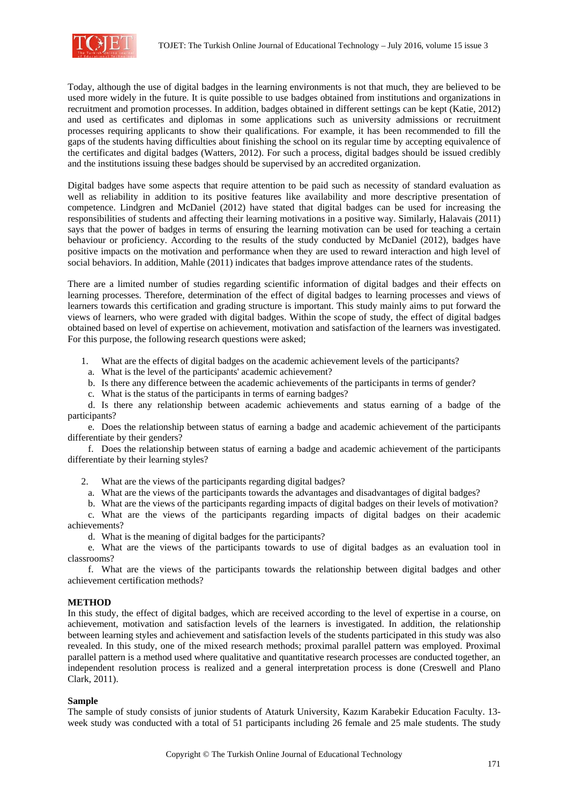

Today, although the use of digital badges in the learning environments is not that much, they are believed to be used more widely in the future. It is quite possible to use badges obtained from institutions and organizations in recruitment and promotion processes. In addition, badges obtained in different settings can be kept (Katie, 2012) and used as certificates and diplomas in some applications such as university admissions or recruitment processes requiring applicants to show their qualifications. For example, it has been recommended to fill the gaps of the students having difficulties about finishing the school on its regular time by accepting equivalence of the certificates and digital badges (Watters, 2012). For such a process, digital badges should be issued credibly and the institutions issuing these badges should be supervised by an accredited organization.

Digital badges have some aspects that require attention to be paid such as necessity of standard evaluation as well as reliability in addition to its positive features like availability and more descriptive presentation of competence. Lindgren and McDaniel (2012) have stated that digital badges can be used for increasing the responsibilities of students and affecting their learning motivations in a positive way. Similarly, Halavais (2011) says that the power of badges in terms of ensuring the learning motivation can be used for teaching a certain behaviour or proficiency. According to the results of the study conducted by McDaniel (2012), badges have positive impacts on the motivation and performance when they are used to reward interaction and high level of social behaviors. In addition, Mahle (2011) indicates that badges improve attendance rates of the students.

There are a limited number of studies regarding scientific information of digital badges and their effects on learning processes. Therefore, determination of the effect of digital badges to learning processes and views of learners towards this certification and grading structure is important. This study mainly aims to put forward the views of learners, who were graded with digital badges. Within the scope of study, the effect of digital badges obtained based on level of expertise on achievement, motivation and satisfaction of the learners was investigated. For this purpose, the following research questions were asked;

1. What are the effects of digital badges on the academic achievement levels of the participants?

a. What is the level of the participants' academic achievement?

b. Is there any difference between the academic achievements of the participants in terms of gender?

c. What is the status of the participants in terms of earning badges?

d. Is there any relationship between academic achievements and status earning of a badge of the participants?

e. Does the relationship between status of earning a badge and academic achievement of the participants differentiate by their genders?

f. Does the relationship between status of earning a badge and academic achievement of the participants differentiate by their learning styles?

2. What are the views of the participants regarding digital badges?

a. What are the views of the participants towards the advantages and disadvantages of digital badges?

b. What are the views of the participants regarding impacts of digital badges on their levels of motivation?

c. What are the views of the participants regarding impacts of digital badges on their academic achievements?

d. What is the meaning of digital badges for the participants?

e. What are the views of the participants towards to use of digital badges as an evaluation tool in classrooms?

f. What are the views of the participants towards the relationship between digital badges and other achievement certification methods?

### **METHOD**

In this study, the effect of digital badges, which are received according to the level of expertise in a course, on achievement, motivation and satisfaction levels of the learners is investigated. In addition, the relationship between learning styles and achievement and satisfaction levels of the students participated in this study was also revealed. In this study, one of the mixed research methods; proximal parallel pattern was employed. Proximal parallel pattern is a method used where qualitative and quantitative research processes are conducted together, an independent resolution process is realized and a general interpretation process is done (Creswell and Plano Clark, 2011).

#### **Sample**

The sample of study consists of junior students of Ataturk University, Kazım Karabekir Education Faculty. 13 week study was conducted with a total of 51 participants including 26 female and 25 male students. The study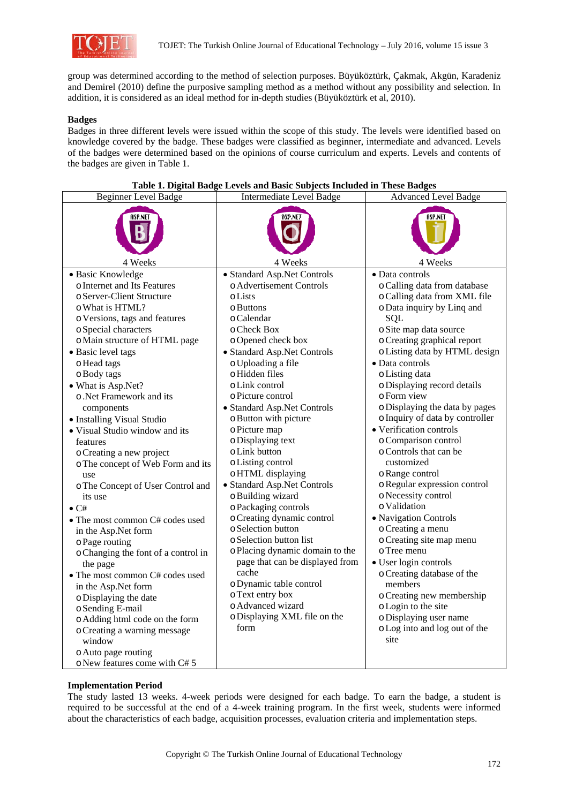

group was determined according to the method of selection purposes. Büyüköztürk, Çakmak, Akgün, Karadeniz and Demirel (2010) define the purposive sampling method as a method without any possibility and selection. In addition, it is considered as an ideal method for in-depth studies (Büyüköztürk et al, 2010).

# **Badges**

Badges in three different levels were issued within the scope of this study. The levels were identified based on knowledge covered by the badge. These badges were classified as beginner, intermediate and advanced. Levels of the badges were determined based on the opinions of course curriculum and experts. Levels and contents of the badges are given in Table 1.

| <b>Beginner Level Badge</b>                                                                                                                                                                                                                                                                                                                                                                                                                                                                                                                                                                                                                                                                                                                                                                                                                          | <b>Intermediate Level Badge</b>                                                                                                                                                                                                                                                                                                                                                                                                                                                                                                                                                                                                                                                                                                                                      | <b>Advanced Level Badge</b>                                                                                                                                                                                                                                                                                                                                                                                                                                                                                                                                                                                                                                                                                                                                                                                                                   |
|------------------------------------------------------------------------------------------------------------------------------------------------------------------------------------------------------------------------------------------------------------------------------------------------------------------------------------------------------------------------------------------------------------------------------------------------------------------------------------------------------------------------------------------------------------------------------------------------------------------------------------------------------------------------------------------------------------------------------------------------------------------------------------------------------------------------------------------------------|----------------------------------------------------------------------------------------------------------------------------------------------------------------------------------------------------------------------------------------------------------------------------------------------------------------------------------------------------------------------------------------------------------------------------------------------------------------------------------------------------------------------------------------------------------------------------------------------------------------------------------------------------------------------------------------------------------------------------------------------------------------------|-----------------------------------------------------------------------------------------------------------------------------------------------------------------------------------------------------------------------------------------------------------------------------------------------------------------------------------------------------------------------------------------------------------------------------------------------------------------------------------------------------------------------------------------------------------------------------------------------------------------------------------------------------------------------------------------------------------------------------------------------------------------------------------------------------------------------------------------------|
|                                                                                                                                                                                                                                                                                                                                                                                                                                                                                                                                                                                                                                                                                                                                                                                                                                                      |                                                                                                                                                                                                                                                                                                                                                                                                                                                                                                                                                                                                                                                                                                                                                                      |                                                                                                                                                                                                                                                                                                                                                                                                                                                                                                                                                                                                                                                                                                                                                                                                                                               |
| 4 Weeks                                                                                                                                                                                                                                                                                                                                                                                                                                                                                                                                                                                                                                                                                                                                                                                                                                              | 4 Weeks                                                                                                                                                                                                                                                                                                                                                                                                                                                                                                                                                                                                                                                                                                                                                              | 4 Weeks                                                                                                                                                                                                                                                                                                                                                                                                                                                                                                                                                                                                                                                                                                                                                                                                                                       |
| · Basic Knowledge<br>o Internet and Its Features<br>o Server-Client Structure<br>o What is HTML?<br>o Versions, tags and features<br>o Special characters<br>o Main structure of HTML page<br>• Basic level tags<br>o Head tags<br>o Body tags<br>• What is Asp.Net?<br>o. Net Framework and its<br>components<br>• Installing Visual Studio<br>• Visual Studio window and its<br>features<br>o Creating a new project<br>o The concept of Web Form and its<br>use<br>o The Concept of User Control and<br>its use<br>$\bullet$ C#<br>• The most common C# codes used<br>in the Asp.Net form<br>o Page routing<br>o Changing the font of a control in<br>the page<br>• The most common C# codes used<br>in the Asp.Net form<br>o Displaying the date<br>o Sending E-mail<br>o Adding html code on the form<br>o Creating a warning message<br>window | · Standard Asp.Net Controls<br>o Advertisement Controls<br>oLists<br>$\circ$ Buttons<br>o Calendar<br>o Check Box<br>o Opened check box<br>• Standard Asp.Net Controls<br>o Uploading a file<br>o Hidden files<br>o Link control<br>o Picture control<br>• Standard Asp.Net Controls<br>o Button with picture<br>o Picture map<br>o Displaying text<br>o Link button<br>o Listing control<br>o HTML displaying<br>• Standard Asp.Net Controls<br>o Building wizard<br>o Packaging controls<br>o Creating dynamic control<br>o Selection button<br>o Selection button list<br>o Placing dynamic domain to the<br>page that can be displayed from<br>cache<br>o Dynamic table control<br>o Text entry box<br>o Advanced wizard<br>o Displaying XML file on the<br>form | · Data controls<br>o Calling data from database<br>o Calling data from XML file<br>o Data inquiry by Linq and<br>SQL<br>o Site map data source<br>o Creating graphical report<br>o Listing data by HTML design<br>· Data controls<br>o Listing data<br>o Displaying record details<br>o Form view<br>o Displaying the data by pages<br>o Inquiry of data by controller<br>• Verification controls<br>o Comparison control<br>o Controls that can be<br>customized<br>o Range control<br>o Regular expression control<br>o Necessity control<br>o Validation<br>• Navigation Controls<br>o Creating a menu<br>o Creating site map menu<br>o Tree menu<br>• User login controls<br>o Creating database of the<br>members<br>o Creating new membership<br>o Login to the site<br>o Displaying user name<br>o Log into and log out of the<br>site |
| o Auto page routing<br>o New features come with C# 5                                                                                                                                                                                                                                                                                                                                                                                                                                                                                                                                                                                                                                                                                                                                                                                                 |                                                                                                                                                                                                                                                                                                                                                                                                                                                                                                                                                                                                                                                                                                                                                                      |                                                                                                                                                                                                                                                                                                                                                                                                                                                                                                                                                                                                                                                                                                                                                                                                                                               |

### **Table 1. Digital Badge Levels and Basic Subjects Included in These Badges**

# **Implementation Period**

The study lasted 13 weeks. 4-week periods were designed for each badge. To earn the badge, a student is required to be successful at the end of a 4-week training program. In the first week, students were informed about the characteristics of each badge, acquisition processes, evaluation criteria and implementation steps.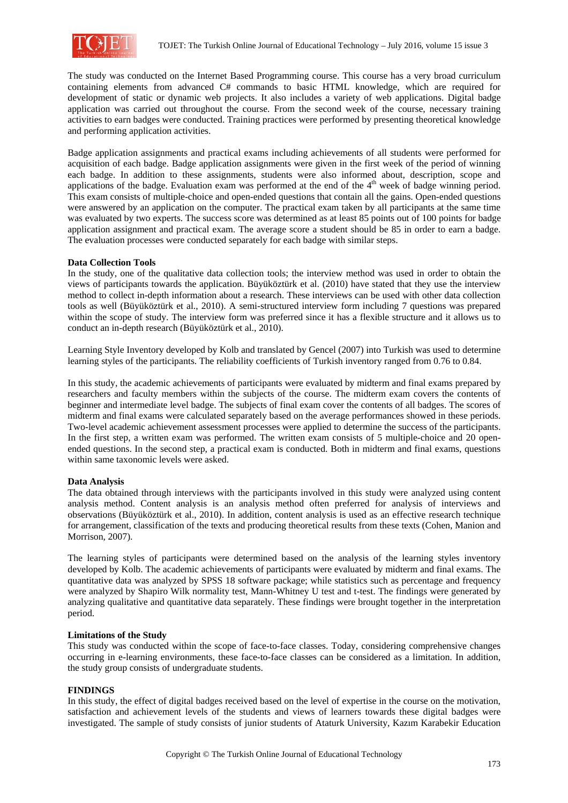

The study was conducted on the Internet Based Programming course. This course has a very broad curriculum containing elements from advanced C# commands to basic HTML knowledge, which are required for development of static or dynamic web projects. It also includes a variety of web applications. Digital badge application was carried out throughout the course. From the second week of the course, necessary training activities to earn badges were conducted. Training practices were performed by presenting theoretical knowledge and performing application activities.

Badge application assignments and practical exams including achievements of all students were performed for acquisition of each badge. Badge application assignments were given in the first week of the period of winning each badge. In addition to these assignments, students were also informed about, description, scope and applications of the badge. Evaluation exam was performed at the end of the  $4<sup>th</sup>$  week of badge winning period. This exam consists of multiple-choice and open-ended questions that contain all the gains. Open-ended questions were answered by an application on the computer. The practical exam taken by all participants at the same time was evaluated by two experts. The success score was determined as at least 85 points out of 100 points for badge application assignment and practical exam. The average score a student should be 85 in order to earn a badge. The evaluation processes were conducted separately for each badge with similar steps.

### **Data Collection Tools**

In the study, one of the qualitative data collection tools; the interview method was used in order to obtain the views of participants towards the application. Büyüköztürk et al. (2010) have stated that they use the interview method to collect in-depth information about a research. These interviews can be used with other data collection tools as well (Büyüköztürk et al., 2010). A semi-structured interview form including 7 questions was prepared within the scope of study. The interview form was preferred since it has a flexible structure and it allows us to conduct an in-depth research (Büyüköztürk et al., 2010).

Learning Style Inventory developed by Kolb and translated by Gencel (2007) into Turkish was used to determine learning styles of the participants. The reliability coefficients of Turkish inventory ranged from 0.76 to 0.84.

In this study, the academic achievements of participants were evaluated by midterm and final exams prepared by researchers and faculty members within the subjects of the course. The midterm exam covers the contents of beginner and intermediate level badge. The subjects of final exam cover the contents of all badges. The scores of midterm and final exams were calculated separately based on the average performances showed in these periods. Two-level academic achievement assessment processes were applied to determine the success of the participants. In the first step, a written exam was performed. The written exam consists of 5 multiple-choice and 20 openended questions. In the second step, a practical exam is conducted. Both in midterm and final exams, questions within same taxonomic levels were asked.

#### **Data Analysis**

The data obtained through interviews with the participants involved in this study were analyzed using content analysis method. Content analysis is an analysis method often preferred for analysis of interviews and observations (Büyüköztürk et al., 2010). In addition, content analysis is used as an effective research technique for arrangement, classification of the texts and producing theoretical results from these texts (Cohen, Manion and Morrison, 2007).

The learning styles of participants were determined based on the analysis of the learning styles inventory developed by Kolb. The academic achievements of participants were evaluated by midterm and final exams. The quantitative data was analyzed by SPSS 18 software package; while statistics such as percentage and frequency were analyzed by Shapiro Wilk normality test, Mann-Whitney U test and t-test. The findings were generated by analyzing qualitative and quantitative data separately. These findings were brought together in the interpretation period.

### **Limitations of the Study**

This study was conducted within the scope of face-to-face classes. Today, considering comprehensive changes occurring in e-learning environments, these face-to-face classes can be considered as a limitation. In addition, the study group consists of undergraduate students.

#### **FINDINGS**

In this study, the effect of digital badges received based on the level of expertise in the course on the motivation, satisfaction and achievement levels of the students and views of learners towards these digital badges were investigated. The sample of study consists of junior students of Ataturk University, Kazım Karabekir Education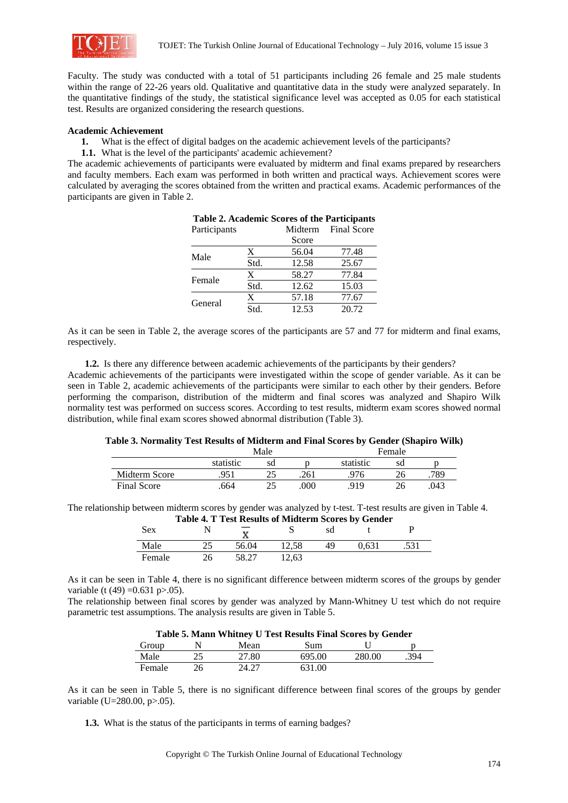

Faculty. The study was conducted with a total of 51 participants including 26 female and 25 male students within the range of 22-26 years old. Qualitative and quantitative data in the study were analyzed separately. In the quantitative findings of the study, the statistical significance level was accepted as 0.05 for each statistical test. Results are organized considering the research questions.

### **Academic Achievement**

- **1.** What is the effect of digital badges on the academic achievement levels of the participants?
- **1.1.** What is the level of the participants' academic achievement?

The academic achievements of participants were evaluated by midterm and final exams prepared by researchers and faculty members. Each exam was performed in both written and practical ways. Achievement scores were calculated by averaging the scores obtained from the written and practical exams. Academic performances of the participants are given in Table 2.

| Participants |      | Midterm | <b>Final Score</b> |
|--------------|------|---------|--------------------|
|              |      | Score   |                    |
| Male         | X    | 56.04   | 77.48              |
|              | Std. | 12.58   | 25.67              |
| Female       | X    | 58.27   | 77.84              |
|              | Std. | 12.62   | 15.03              |
| General      | X    | 57.18   | 77.67              |
|              | Std. | 12.53   | 20.72              |

As it can be seen in Table 2, the average scores of the participants are 57 and 77 for midterm and final exams, respectively.

**1.2.** Is there any difference between academic achievements of the participants by their genders?

Academic achievements of the participants were investigated within the scope of gender variable. As it can be seen in Table 2, academic achievements of the participants were similar to each other by their genders. Before performing the comparison, distribution of the midterm and final scores was analyzed and Shapiro Wilk normality test was performed on success scores. According to test results, midterm exam scores showed normal distribution, while final exam scores showed abnormal distribution (Table 3).

### **Table 3. Normality Test Results of Midterm and Final Scores by Gender (Shapiro Wilk)**

|                    |           | Male     |      | Female    |    |      |  |
|--------------------|-----------|----------|------|-----------|----|------|--|
|                    | statistic | sd       |      | statistic | sd |      |  |
| Midterm Score      | .951      | $\gamma$ | .261 | .976      |    | .789 |  |
| <b>Final Score</b> | .664      | つら       | 000  | 919       |    | .043 |  |

The relationship between midterm scores by gender was analyzed by t-test. T-test results are given in Table 4. **Table 4. T Test Results of Midterm Scores by Gender** 

| <b>Sex</b> |    | Table 4. I Test Results of Midterin Scores by Gender |       | sd |       |      |
|------------|----|------------------------------------------------------|-------|----|-------|------|
| Male       |    | 56.04                                                | 12.58 |    | 0.631 | .531 |
| Female     | 26 | 58.27                                                | 12.63 |    |       |      |

As it can be seen in Table 4, there is no significant difference between midterm scores of the groups by gender variable (t (49) =  $0.631$  p $> 0.05$ ).

The relationship between final scores by gender was analyzed by Mann-Whitney U test which do not require parametric test assumptions. The analysis results are given in Table 5.

| Table 5. Mann Whitney U Test Results Final Scores by Gender |    |       |        |        |      |  |  |  |  |  |
|-------------------------------------------------------------|----|-------|--------|--------|------|--|--|--|--|--|
| Group                                                       |    | Mean  | Sum    |        |      |  |  |  |  |  |
| Male                                                        | 25 | 27.80 | 695.00 | 280.00 | .394 |  |  |  |  |  |
| Female                                                      | 26 | 24.27 | 631.00 |        |      |  |  |  |  |  |

**Table 5. Mann Whitney U Test Results Final Scores by Gender** 

As it can be seen in Table 5, there is no significant difference between final scores of the groups by gender variable (U=280.00, p>.05).

**1.3.** What is the status of the participants in terms of earning badges?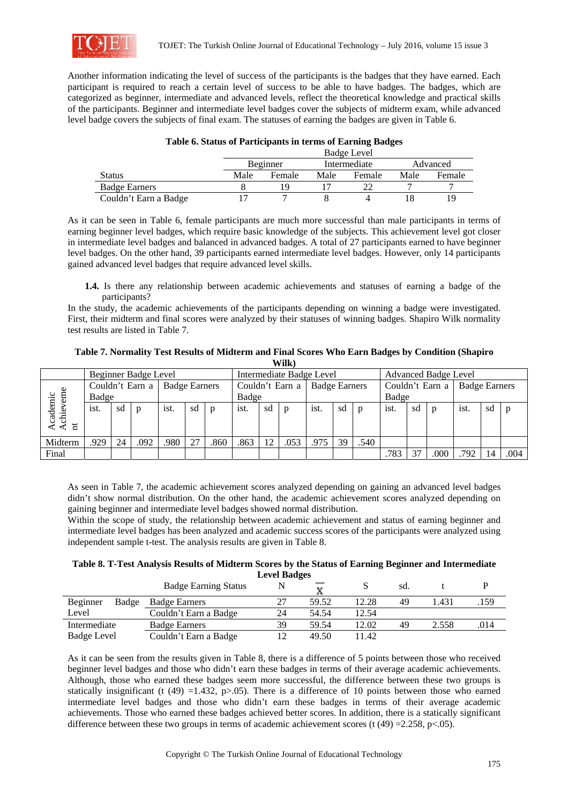

Another information indicating the level of success of the participants is the badges that they have earned. Each participant is required to reach a certain level of success to be able to have badges. The badges, which are categorized as beginner, intermediate and advanced levels, reflect the theoretical knowledge and practical skills of the participants. Beginner and intermediate level badges cover the subjects of midterm exam, while advanced level badge covers the subjects of final exam. The statuses of earning the badges are given in Table 6.

## **Table 6. Status of Participants in terms of Earning Badges**

|                       |      | Badge Level                          |      |        |      |        |  |  |  |  |  |  |
|-----------------------|------|--------------------------------------|------|--------|------|--------|--|--|--|--|--|--|
|                       |      | Intermediate<br>Advanced<br>Beginner |      |        |      |        |  |  |  |  |  |  |
| Status                | Male | Female                               | Male | Female | Male | Female |  |  |  |  |  |  |
| <b>Badge Earners</b>  |      | ıο                                   |      |        |      |        |  |  |  |  |  |  |
| Couldn't Earn a Badge |      |                                      |      |        |      | 19     |  |  |  |  |  |  |

As it can be seen in Table 6, female participants are much more successful than male participants in terms of earning beginner level badges, which require basic knowledge of the subjects. This achievement level got closer in intermediate level badges and balanced in advanced badges. A total of 27 participants earned to have beginner level badges. On the other hand, 39 participants earned intermediate level badges. However, only 14 participants gained advanced level badges that require advanced level skills.

**1.4.** Is there any relationship between academic achievements and statuses of earning a badge of the participants?

In the study, the academic achievements of the participants depending on winning a badge were investigated. First, their midterm and final scores were analyzed by their statuses of winning badges. Shapiro Wilk normality test results are listed in Table 7.

**Table 7. Normality Test Results of Midterm and Final Scores Who Earn Badges by Condition (Shapiro Wilk)** 

|             |       |    | Beginner Badge Level |                      |    |              | Intermediate Badge Level |    |              |                      | <b>Advanced Badge Level</b> |                 |      |    |                      |      |    |              |
|-------------|-------|----|----------------------|----------------------|----|--------------|--------------------------|----|--------------|----------------------|-----------------------------|-----------------|------|----|----------------------|------|----|--------------|
|             |       |    | Couldn't Earn a      | <b>Badge Earners</b> |    |              | Couldn't Earn a          |    |              | <b>Badge Earners</b> |                             | Couldn't Earn a |      |    | <b>Badge Earners</b> |      |    |              |
| ပ           | Badge |    |                      |                      |    |              | Badge                    |    |              |                      | Badge                       |                 |      |    |                      |      |    |              |
| cademi<br>Ħ | ist.  | sd | $\mathbf{D}$         | ist.                 | sd | $\mathbf{p}$ | ist.                     | sd | $\mathbf{p}$ | ist.                 | sd                          | $\mathbf{D}$    | ist. | sd | $\mathbf{D}$         | ist. | sd | $\mathbf{D}$ |
|             |       |    |                      |                      |    |              |                          |    |              |                      |                             |                 |      |    |                      |      |    |              |
| Midterm     | .929  | 24 | .092                 | .980                 | 27 | .860         | .863                     | 12 | .053         | .975                 | 39                          | .540            |      |    |                      |      |    |              |
| Final       |       |    |                      |                      |    |              |                          |    |              |                      |                             |                 | .783 | 27 | .000                 | .792 |    | .004         |

As seen in Table 7, the academic achievement scores analyzed depending on gaining an advanced level badges didn't show normal distribution. On the other hand, the academic achievement scores analyzed depending on gaining beginner and intermediate level badges showed normal distribution.

Within the scope of study, the relationship between academic achievement and status of earning beginner and intermediate level badges has been analyzed and academic success scores of the participants were analyzed using independent sample t-test. The analysis results are given in Table 8.

| Table 8. T-Test Analysis Results of Midterm Scores by the Status of Earning Beginner and Intermediate |
|-------------------------------------------------------------------------------------------------------|
| <b>Level Badges</b>                                                                                   |

|                   | <b>Badge Earning Status</b> |    |       |       | sd. |       |      |
|-------------------|-----------------------------|----|-------|-------|-----|-------|------|
| Beginner<br>Badge | <b>Badge Earners</b>        |    | 59.52 | 12.28 | 49  | .431  | .159 |
| Level             | Couldn't Earn a Badge       | 24 | 54.54 | 12.54 |     |       |      |
| Intermediate      | <b>Badge Earners</b>        | 39 | 59.54 | 12.02 | 49  | 2.558 | .014 |
| Badge Level       | Couldn't Earn a Badge       |    | 49.50 | 1.42  |     |       |      |

As it can be seen from the results given in Table 8, there is a difference of 5 points between those who received beginner level badges and those who didn't earn these badges in terms of their average academic achievements. Although, those who earned these badges seem more successful, the difference between these two groups is statically insignificant (t (49) =1.432, p>.05). There is a difference of 10 points between those who earned intermediate level badges and those who didn't earn these badges in terms of their average academic achievements. Those who earned these badges achieved better scores. In addition, there is a statically significant difference between these two groups in terms of academic achievement scores (t  $(49) = 2.258$ , p<.05).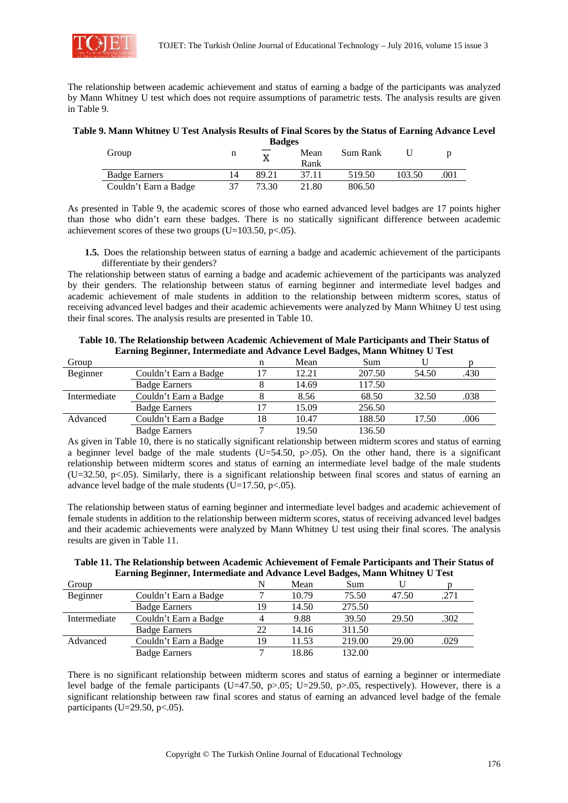

The relationship between academic achievement and status of earning a badge of the participants was analyzed by Mann Whitney U test which does not require assumptions of parametric tests. The analysis results are given in Table 9.

#### **Table 9. Mann Whitney U Test Analysis Results of Final Scores by the Status of Earning Advance Level Badges**

| Group                 | п  | <b>Dauges</b> | Mean<br>Rank | Sum Rank |        |      |
|-----------------------|----|---------------|--------------|----------|--------|------|
| <b>Badge Earners</b>  | 14 | 89.21         | 37.11        | 519.50   | 103.50 | .001 |
| Couldn't Earn a Badge |    | 73.30         | 21.80        | 806.50   |        |      |

As presented in Table 9, the academic scores of those who earned advanced level badges are 17 points higher than those who didn't earn these badges. There is no statically significant difference between academic achievement scores of these two groups (U=103.50, p $<0.05$ ).

**1.5.** Does the relationship between status of earning a badge and academic achievement of the participants differentiate by their genders?

The relationship between status of earning a badge and academic achievement of the participants was analyzed by their genders. The relationship between status of earning beginner and intermediate level badges and academic achievement of male students in addition to the relationship between midterm scores, status of receiving advanced level badges and their academic achievements were analyzed by Mann Whitney U test using their final scores. The analysis results are presented in Table 10.

|              | Lating Deginier, intermediate and Advance Level Dauges, Mann Winthey O Test |    |       |        |       |      |  |  |  |  |
|--------------|-----------------------------------------------------------------------------|----|-------|--------|-------|------|--|--|--|--|
| Group        |                                                                             | n  | Mean  | Sum    |       |      |  |  |  |  |
| Beginner     | Couldn't Earn a Badge                                                       |    | 12.21 | 207.50 | 54.50 | .430 |  |  |  |  |
|              | <b>Badge Earners</b>                                                        |    | 14.69 | 117.50 |       |      |  |  |  |  |
| Intermediate | Couldn't Earn a Badge                                                       |    | 8.56  | 68.50  | 32.50 | .038 |  |  |  |  |
|              | <b>Badge Earners</b>                                                        |    | 15.09 | 256.50 |       |      |  |  |  |  |
| Advanced     | Couldn't Earn a Badge                                                       | 18 | 10.47 | 188.50 | 17.50 | .006 |  |  |  |  |
|              | <b>Badge Earners</b>                                                        |    | 19.50 | 136.50 |       |      |  |  |  |  |

**Table 10. The Relationship between Academic Achievement of Male Participants and Their Status of Earning Beginner, Intermediate and Advance Level Badges, Mann Whitney U Test** 

As given in Table 10, there is no statically significant relationship between midterm scores and status of earning a beginner level badge of the male students  $(U=54.50, p>0.05)$ . On the other hand, there is a significant relationship between midterm scores and status of earning an intermediate level badge of the male students (U=32.50, p<.05). Similarly, there is a significant relationship between final scores and status of earning an advance level badge of the male students ( $\overline{U}$ =17.50, p<.05).

The relationship between status of earning beginner and intermediate level badges and academic achievement of female students in addition to the relationship between midterm scores, status of receiving advanced level badges and their academic achievements were analyzed by Mann Whitney U test using their final scores. The analysis results are given in Table 11.

| Table 11. The Relationship between Academic Achievement of Female Participants and Their Status of |
|----------------------------------------------------------------------------------------------------|
| Earning Beginner, Intermediate and Advance Level Badges, Mann Whitney U Test                       |

| Group        |                       | N  | Mean  | Sum    |       |      |
|--------------|-----------------------|----|-------|--------|-------|------|
| Beginner     | Couldn't Earn a Badge |    | 10.79 | 75.50  | 47.50 | .271 |
|              | <b>Badge Earners</b>  | 19 | 14.50 | 275.50 |       |      |
| Intermediate | Couldn't Earn a Badge |    | 9.88  | 39.50  | 29.50 | .302 |
|              | <b>Badge Earners</b>  | 22 | 14.16 | 311.50 |       |      |
| Advanced     | Couldn't Earn a Badge | 19 | 11.53 | 219.00 | 29.00 | .029 |
|              | <b>Badge Earners</b>  |    | 18.86 | 132.00 |       |      |

There is no significant relationship between midterm scores and status of earning a beginner or intermediate level badge of the female participants (U=47.50, p>.05; U=29.50, p>.05, respectively). However, there is a significant relationship between raw final scores and status of earning an advanced level badge of the female participants (U=29.50, p $<0.05$ ).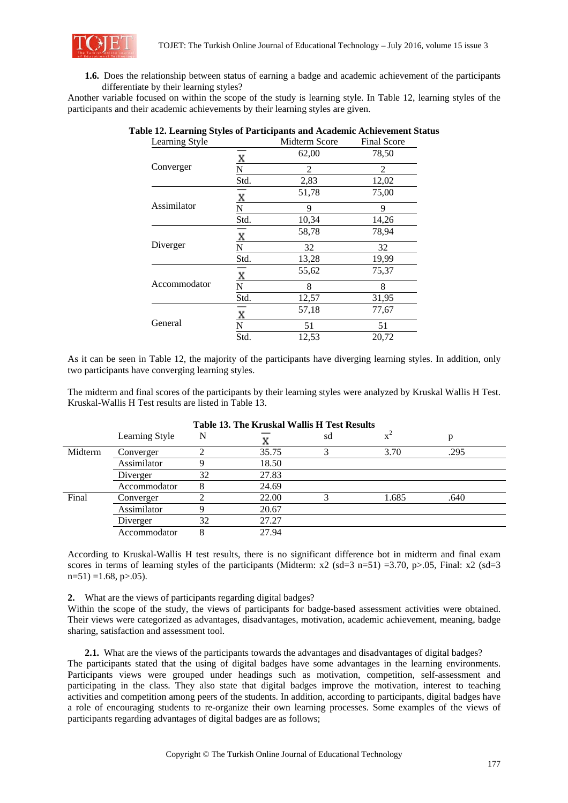

**1.6.** Does the relationship between status of earning a badge and academic achievement of the participants differentiate by their learning styles?

Another variable focused on within the scope of the study is learning style. In Table 12, learning styles of the participants and their academic achievements by their learning styles are given.

| Learning Style |      | Midterm Score  | <b>Final Score</b> |
|----------------|------|----------------|--------------------|
|                | X    | 62,00          | 78,50              |
| Converger      | N    | $\mathfrak{D}$ | $\mathfrak{D}$     |
|                | Std. | 2,83           | 12,02              |
| Assimilator    | X    | 51,78          | 75,00              |
|                | N    | 9              | 9                  |
|                | Std. | 10,34          | 14,26              |
| Diverger       | X    | 58,78          | 78,94              |
|                | N    | 32             | 32                 |
|                | Std. | 13,28          | 19,99              |
| Accommodator   | X    | 55,62          | 75,37              |
|                | N    | 8              | 8                  |
|                | Std. | 12,57          | 31,95              |
| General        | X    | 57,18          | 77,67              |
|                | N    | 51             | 51                 |
|                | Std. | 12,53          | 20,72              |

**Table 12. Learning Styles of Participants and Academic Achievement Status** 

As it can be seen in Table 12, the majority of the participants have diverging learning styles. In addition, only two participants have converging learning styles.

The midterm and final scores of the participants by their learning styles were analyzed by Kruskal Wallis H Test. Kruskal-Wallis H Test results are listed in Table 13.

| Table 13. The Kruskal Wallis H Test Results |                |    |       |    |       |      |  |  |
|---------------------------------------------|----------------|----|-------|----|-------|------|--|--|
|                                             | Learning Style | N  |       | sd |       | p    |  |  |
| Midterm                                     | Converger      |    | 35.75 |    | 3.70  | .295 |  |  |
|                                             | Assimilator    |    | 18.50 |    |       |      |  |  |
|                                             | Diverger       | 32 | 27.83 |    |       |      |  |  |
|                                             | Accommodator   |    | 24.69 |    |       |      |  |  |
| Final                                       | Converger      |    | 22.00 |    | 1.685 | .640 |  |  |
|                                             | Assimilator    |    | 20.67 |    |       |      |  |  |
|                                             | Diverger       | 32 | 27.27 |    |       |      |  |  |
|                                             | Accommodator   |    | 27.94 |    |       |      |  |  |

**Table 13. The Kruskal Wallis H Test Results** 

According to Kruskal-Wallis H test results, there is no significant difference bot in midterm and final exam scores in terms of learning styles of the participants (Midterm:  $x^2$  (sd=3 n=51) =3.70, p>.05, Final:  $x^2$  (sd=3  $n=51$ ) =1.68, p $> 0.05$ ).

**2.** What are the views of participants regarding digital badges?

Within the scope of the study, the views of participants for badge-based assessment activities were obtained. Their views were categorized as advantages, disadvantages, motivation, academic achievement, meaning, badge sharing, satisfaction and assessment tool.

**2.1.** What are the views of the participants towards the advantages and disadvantages of digital badges?

The participants stated that the using of digital badges have some advantages in the learning environments. Participants views were grouped under headings such as motivation, competition, self-assessment and participating in the class. They also state that digital badges improve the motivation, interest to teaching activities and competition among peers of the students. In addition, according to participants, digital badges have a role of encouraging students to re-organize their own learning processes. Some examples of the views of participants regarding advantages of digital badges are as follows;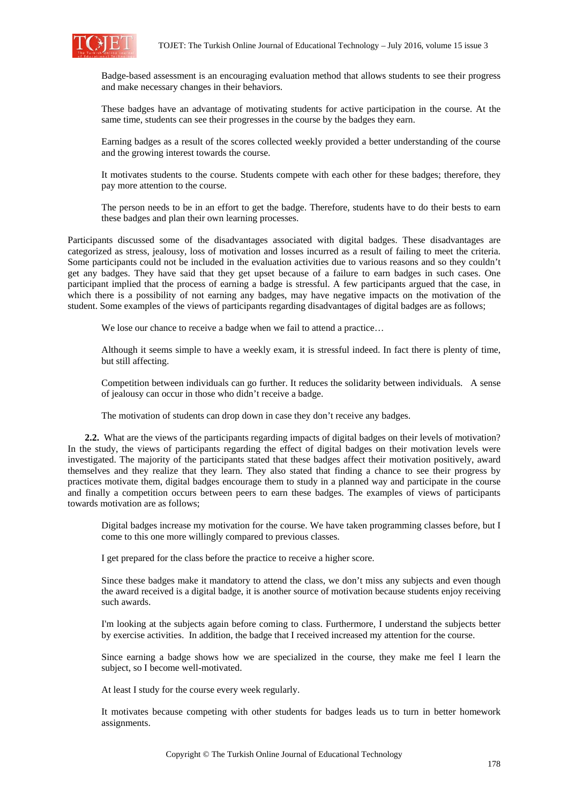

Badge-based assessment is an encouraging evaluation method that allows students to see their progress and make necessary changes in their behaviors.

These badges have an advantage of motivating students for active participation in the course. At the same time, students can see their progresses in the course by the badges they earn.

Earning badges as a result of the scores collected weekly provided a better understanding of the course and the growing interest towards the course.

It motivates students to the course. Students compete with each other for these badges; therefore, they pay more attention to the course.

The person needs to be in an effort to get the badge. Therefore, students have to do their bests to earn these badges and plan their own learning processes.

Participants discussed some of the disadvantages associated with digital badges. These disadvantages are categorized as stress, jealousy, loss of motivation and losses incurred as a result of failing to meet the criteria. Some participants could not be included in the evaluation activities due to various reasons and so they couldn't get any badges. They have said that they get upset because of a failure to earn badges in such cases. One participant implied that the process of earning a badge is stressful. A few participants argued that the case, in which there is a possibility of not earning any badges, may have negative impacts on the motivation of the student. Some examples of the views of participants regarding disadvantages of digital badges are as follows;

We lose our chance to receive a badge when we fail to attend a practice...

Although it seems simple to have a weekly exam, it is stressful indeed. In fact there is plenty of time, but still affecting.

Competition between individuals can go further. It reduces the solidarity between individuals. A sense of jealousy can occur in those who didn't receive a badge.

The motivation of students can drop down in case they don't receive any badges.

**2.2.** What are the views of the participants regarding impacts of digital badges on their levels of motivation? In the study, the views of participants regarding the effect of digital badges on their motivation levels were investigated. The majority of the participants stated that these badges affect their motivation positively, award themselves and they realize that they learn. They also stated that finding a chance to see their progress by practices motivate them, digital badges encourage them to study in a planned way and participate in the course and finally a competition occurs between peers to earn these badges. The examples of views of participants towards motivation are as follows;

Digital badges increase my motivation for the course. We have taken programming classes before, but I come to this one more willingly compared to previous classes.

I get prepared for the class before the practice to receive a higher score.

Since these badges make it mandatory to attend the class, we don't miss any subjects and even though the award received is a digital badge, it is another source of motivation because students enjoy receiving such awards.

I'm looking at the subjects again before coming to class. Furthermore, I understand the subjects better by exercise activities. In addition, the badge that I received increased my attention for the course.

Since earning a badge shows how we are specialized in the course, they make me feel I learn the subject, so I become well-motivated.

At least I study for the course every week regularly.

It motivates because competing with other students for badges leads us to turn in better homework assignments.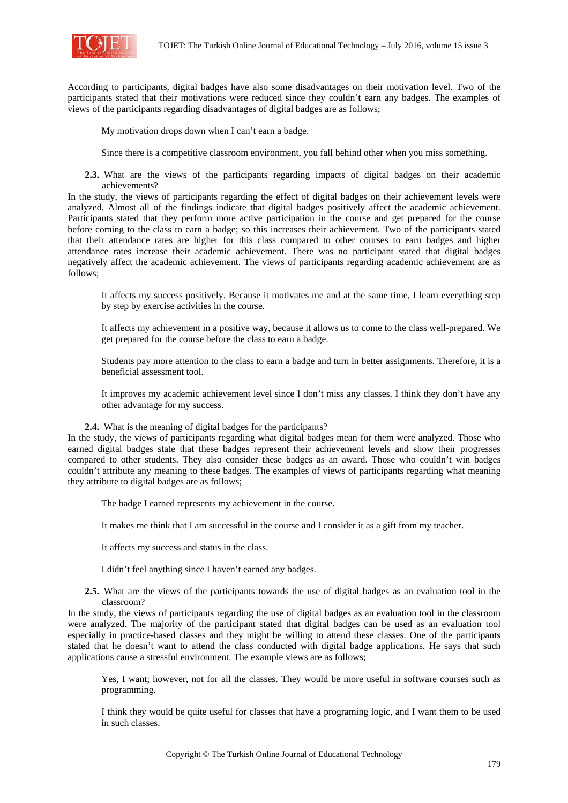

According to participants, digital badges have also some disadvantages on their motivation level. Two of the participants stated that their motivations were reduced since they couldn't earn any badges. The examples of views of the participants regarding disadvantages of digital badges are as follows;

My motivation drops down when I can't earn a badge.

Since there is a competitive classroom environment, you fall behind other when you miss something.

**2.3.** What are the views of the participants regarding impacts of digital badges on their academic achievements?

In the study, the views of participants regarding the effect of digital badges on their achievement levels were analyzed. Almost all of the findings indicate that digital badges positively affect the academic achievement. Participants stated that they perform more active participation in the course and get prepared for the course before coming to the class to earn a badge; so this increases their achievement. Two of the participants stated that their attendance rates are higher for this class compared to other courses to earn badges and higher attendance rates increase their academic achievement. There was no participant stated that digital badges negatively affect the academic achievement. The views of participants regarding academic achievement are as follows;

It affects my success positively. Because it motivates me and at the same time, I learn everything step by step by exercise activities in the course.

It affects my achievement in a positive way, because it allows us to come to the class well-prepared. We get prepared for the course before the class to earn a badge.

Students pay more attention to the class to earn a badge and turn in better assignments. Therefore, it is a beneficial assessment tool.

It improves my academic achievement level since I don't miss any classes. I think they don't have any other advantage for my success.

**2.4.** What is the meaning of digital badges for the participants?

In the study, the views of participants regarding what digital badges mean for them were analyzed. Those who earned digital badges state that these badges represent their achievement levels and show their progresses compared to other students. They also consider these badges as an award. Those who couldn't win badges couldn't attribute any meaning to these badges. The examples of views of participants regarding what meaning they attribute to digital badges are as follows;

The badge I earned represents my achievement in the course.

It makes me think that I am successful in the course and I consider it as a gift from my teacher.

It affects my success and status in the class.

I didn't feel anything since I haven't earned any badges.

**2.5.** What are the views of the participants towards the use of digital badges as an evaluation tool in the classroom?

In the study, the views of participants regarding the use of digital badges as an evaluation tool in the classroom were analyzed. The majority of the participant stated that digital badges can be used as an evaluation tool especially in practice-based classes and they might be willing to attend these classes. One of the participants stated that he doesn't want to attend the class conducted with digital badge applications. He says that such applications cause a stressful environment. The example views are as follows;

Yes, I want; however, not for all the classes. They would be more useful in software courses such as programming.

I think they would be quite useful for classes that have a programing logic, and I want them to be used in such classes.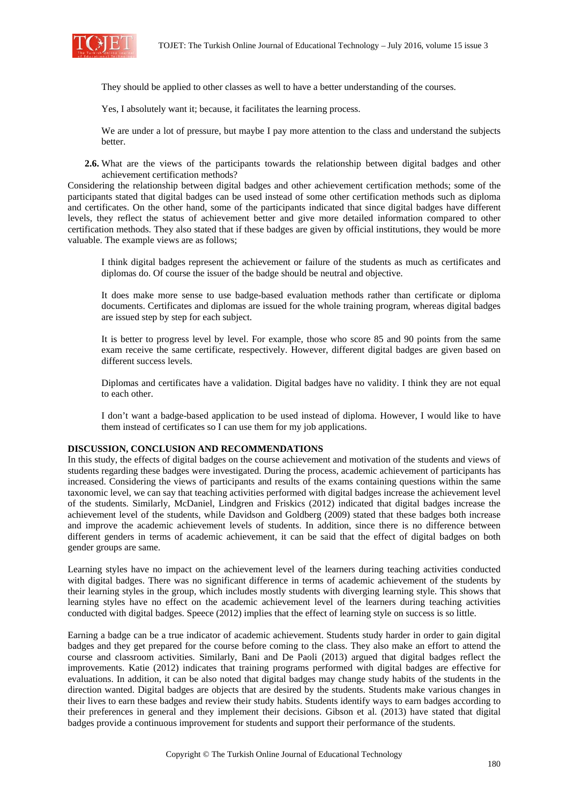

They should be applied to other classes as well to have a better understanding of the courses.

Yes, I absolutely want it; because, it facilitates the learning process.

We are under a lot of pressure, but maybe I pay more attention to the class and understand the subjects better.

**2.6.** What are the views of the participants towards the relationship between digital badges and other achievement certification methods?

Considering the relationship between digital badges and other achievement certification methods; some of the participants stated that digital badges can be used instead of some other certification methods such as diploma and certificates. On the other hand, some of the participants indicated that since digital badges have different levels, they reflect the status of achievement better and give more detailed information compared to other certification methods. They also stated that if these badges are given by official institutions, they would be more valuable. The example views are as follows;

I think digital badges represent the achievement or failure of the students as much as certificates and diplomas do. Of course the issuer of the badge should be neutral and objective.

It does make more sense to use badge-based evaluation methods rather than certificate or diploma documents. Certificates and diplomas are issued for the whole training program, whereas digital badges are issued step by step for each subject.

It is better to progress level by level. For example, those who score 85 and 90 points from the same exam receive the same certificate, respectively. However, different digital badges are given based on different success levels.

Diplomas and certificates have a validation. Digital badges have no validity. I think they are not equal to each other.

I don't want a badge-based application to be used instead of diploma. However, I would like to have them instead of certificates so I can use them for my job applications.

### **DISCUSSION, CONCLUSION AND RECOMMENDATIONS**

In this study, the effects of digital badges on the course achievement and motivation of the students and views of students regarding these badges were investigated. During the process, academic achievement of participants has increased. Considering the views of participants and results of the exams containing questions within the same taxonomic level, we can say that teaching activities performed with digital badges increase the achievement level of the students. Similarly, McDaniel, Lindgren and Friskics (2012) indicated that digital badges increase the achievement level of the students, while Davidson and Goldberg (2009) stated that these badges both increase and improve the academic achievement levels of students. In addition, since there is no difference between different genders in terms of academic achievement, it can be said that the effect of digital badges on both gender groups are same.

Learning styles have no impact on the achievement level of the learners during teaching activities conducted with digital badges. There was no significant difference in terms of academic achievement of the students by their learning styles in the group, which includes mostly students with diverging learning style. This shows that learning styles have no effect on the academic achievement level of the learners during teaching activities conducted with digital badges. Speece (2012) implies that the effect of learning style on success is so little.

Earning a badge can be a true indicator of academic achievement. Students study harder in order to gain digital badges and they get prepared for the course before coming to the class. They also make an effort to attend the course and classroom activities. Similarly, Bani and De Paoli (2013) argued that digital badges reflect the improvements. Katie (2012) indicates that training programs performed with digital badges are effective for evaluations. In addition, it can be also noted that digital badges may change study habits of the students in the direction wanted. Digital badges are objects that are desired by the students. Students make various changes in their lives to earn these badges and review their study habits. Students identify ways to earn badges according to their preferences in general and they implement their decisions. Gibson et al. (2013) have stated that digital badges provide a continuous improvement for students and support their performance of the students.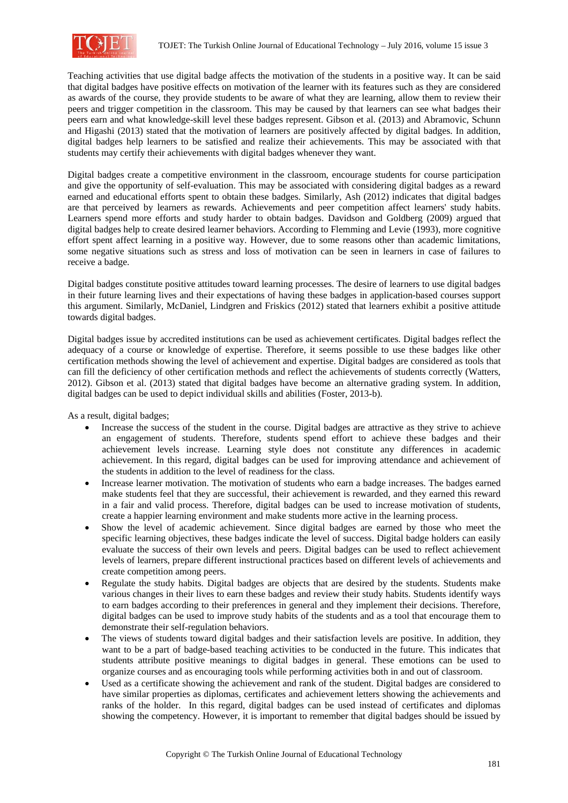

Teaching activities that use digital badge affects the motivation of the students in a positive way. It can be said that digital badges have positive effects on motivation of the learner with its features such as they are considered as awards of the course, they provide students to be aware of what they are learning, allow them to review their peers and trigger competition in the classroom. This may be caused by that learners can see what badges their peers earn and what knowledge-skill level these badges represent. Gibson et al. (2013) and Abramovic, Schunn and Higashi (2013) stated that the motivation of learners are positively affected by digital badges. In addition, digital badges help learners to be satisfied and realize their achievements. This may be associated with that students may certify their achievements with digital badges whenever they want.

Digital badges create a competitive environment in the classroom, encourage students for course participation and give the opportunity of self-evaluation. This may be associated with considering digital badges as a reward earned and educational efforts spent to obtain these badges. Similarly, Ash (2012) indicates that digital badges are that perceived by learners as rewards. Achievements and peer competition affect learners' study habits. Learners spend more efforts and study harder to obtain badges. Davidson and Goldberg (2009) argued that digital badges help to create desired learner behaviors. According to Flemming and Levie (1993), more cognitive effort spent affect learning in a positive way. However, due to some reasons other than academic limitations, some negative situations such as stress and loss of motivation can be seen in learners in case of failures to receive a badge.

Digital badges constitute positive attitudes toward learning processes. The desire of learners to use digital badges in their future learning lives and their expectations of having these badges in application-based courses support this argument. Similarly, McDaniel, Lindgren and Friskics (2012) stated that learners exhibit a positive attitude towards digital badges.

Digital badges issue by accredited institutions can be used as achievement certificates. Digital badges reflect the adequacy of a course or knowledge of expertise. Therefore, it seems possible to use these badges like other certification methods showing the level of achievement and expertise. Digital badges are considered as tools that can fill the deficiency of other certification methods and reflect the achievements of students correctly (Watters, 2012). Gibson et al. (2013) stated that digital badges have become an alternative grading system. In addition, digital badges can be used to depict individual skills and abilities (Foster, 2013-b).

As a result, digital badges;

- Increase the success of the student in the course. Digital badges are attractive as they strive to achieve an engagement of students. Therefore, students spend effort to achieve these badges and their achievement levels increase. Learning style does not constitute any differences in academic achievement. In this regard, digital badges can be used for improving attendance and achievement of the students in addition to the level of readiness for the class.
- Increase learner motivation. The motivation of students who earn a badge increases. The badges earned make students feel that they are successful, their achievement is rewarded, and they earned this reward in a fair and valid process. Therefore, digital badges can be used to increase motivation of students, create a happier learning environment and make students more active in the learning process.
- Show the level of academic achievement. Since digital badges are earned by those who meet the specific learning objectives, these badges indicate the level of success. Digital badge holders can easily evaluate the success of their own levels and peers. Digital badges can be used to reflect achievement levels of learners, prepare different instructional practices based on different levels of achievements and create competition among peers.
- Regulate the study habits. Digital badges are objects that are desired by the students. Students make various changes in their lives to earn these badges and review their study habits. Students identify ways to earn badges according to their preferences in general and they implement their decisions. Therefore, digital badges can be used to improve study habits of the students and as a tool that encourage them to demonstrate their self-regulation behaviors.
- The views of students toward digital badges and their satisfaction levels are positive. In addition, they want to be a part of badge-based teaching activities to be conducted in the future. This indicates that students attribute positive meanings to digital badges in general. These emotions can be used to organize courses and as encouraging tools while performing activities both in and out of classroom.
- Used as a certificate showing the achievement and rank of the student. Digital badges are considered to have similar properties as diplomas, certificates and achievement letters showing the achievements and ranks of the holder. In this regard, digital badges can be used instead of certificates and diplomas showing the competency. However, it is important to remember that digital badges should be issued by